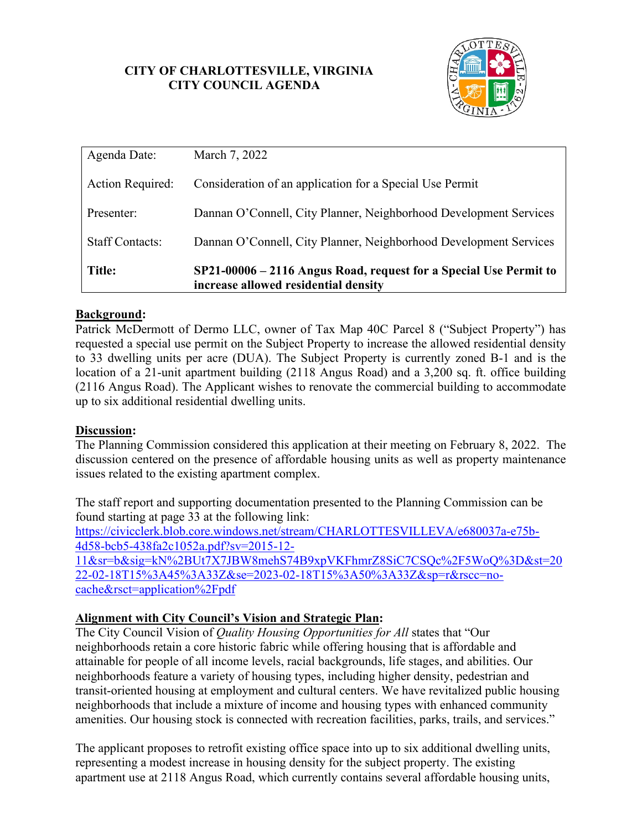### **CITY OF CHARLOTTESVILLE, VIRGINIA CITY COUNCIL AGENDA**



| <b>Title:</b>           | SP21-00006 - 2116 Angus Road, request for a Special Use Permit to<br>increase allowed residential density |
|-------------------------|-----------------------------------------------------------------------------------------------------------|
| <b>Staff Contacts:</b>  | Dannan O'Connell, City Planner, Neighborhood Development Services                                         |
| Presenter:              | Dannan O'Connell, City Planner, Neighborhood Development Services                                         |
| <b>Action Required:</b> | Consideration of an application for a Special Use Permit                                                  |
| Agenda Date:            | March 7, 2022                                                                                             |

## **Background:**

Patrick McDermott of Dermo LLC, owner of Tax Map 40C Parcel 8 ("Subject Property") has requested a special use permit on the Subject Property to increase the allowed residential density to 33 dwelling units per acre (DUA). The Subject Property is currently zoned B-1 and is the location of a 21-unit apartment building (2118 Angus Road) and a 3,200 sq. ft. office building (2116 Angus Road). The Applicant wishes to renovate the commercial building to accommodate up to six additional residential dwelling units.

#### **Discussion:**

The Planning Commission considered this application at their meeting on February 8, 2022. The discussion centered on the presence of affordable housing units as well as property maintenance issues related to the existing apartment complex.

The staff report and supporting documentation presented to the Planning Commission can be found starting at page 33 at the following link: [https://civicclerk.blob.core.windows.net/stream/CHARLOTTESVILLEVA/e680037a-e75b-](https://civicclerk.blob.core.windows.net/stream/CHARLOTTESVILLEVA/e680037a-e75b-4d58-bcb5-438fa2c1052a.pdf?sv=2015-12-11&sr=b&sig=kN%2BUt7X7JBW8mehS74B9xpVKFhmrZ8SiC7CSQc%2F5WoQ%3D&st=2022-02-18T15%3A45%3A33Z&se=2023-02-18T15%3A50%3A33Z&sp=r&rscc=no-cache&rsct=application%2Fpdf)[4d58-bcb5-438fa2c1052a.pdf?sv=2015-12-](https://civicclerk.blob.core.windows.net/stream/CHARLOTTESVILLEVA/e680037a-e75b-4d58-bcb5-438fa2c1052a.pdf?sv=2015-12-11&sr=b&sig=kN%2BUt7X7JBW8mehS74B9xpVKFhmrZ8SiC7CSQc%2F5WoQ%3D&st=2022-02-18T15%3A45%3A33Z&se=2023-02-18T15%3A50%3A33Z&sp=r&rscc=no-cache&rsct=application%2Fpdf) [11&sr=b&sig=kN%2BUt7X7JBW8mehS74B9xpVKFhmrZ8SiC7CSQc%2F5WoQ%3D&st=20](https://civicclerk.blob.core.windows.net/stream/CHARLOTTESVILLEVA/e680037a-e75b-4d58-bcb5-438fa2c1052a.pdf?sv=2015-12-11&sr=b&sig=kN%2BUt7X7JBW8mehS74B9xpVKFhmrZ8SiC7CSQc%2F5WoQ%3D&st=2022-02-18T15%3A45%3A33Z&se=2023-02-18T15%3A50%3A33Z&sp=r&rscc=no-cache&rsct=application%2Fpdf) [22-02-18T15%3A45%3A33Z&se=2023-02-18T15%3A50%3A33Z&sp=r&rscc=no](https://civicclerk.blob.core.windows.net/stream/CHARLOTTESVILLEVA/e680037a-e75b-4d58-bcb5-438fa2c1052a.pdf?sv=2015-12-11&sr=b&sig=kN%2BUt7X7JBW8mehS74B9xpVKFhmrZ8SiC7CSQc%2F5WoQ%3D&st=2022-02-18T15%3A45%3A33Z&se=2023-02-18T15%3A50%3A33Z&sp=r&rscc=no-cache&rsct=application%2Fpdf)[cache&rsct=application%2Fpdf](https://civicclerk.blob.core.windows.net/stream/CHARLOTTESVILLEVA/e680037a-e75b-4d58-bcb5-438fa2c1052a.pdf?sv=2015-12-11&sr=b&sig=kN%2BUt7X7JBW8mehS74B9xpVKFhmrZ8SiC7CSQc%2F5WoQ%3D&st=2022-02-18T15%3A45%3A33Z&se=2023-02-18T15%3A50%3A33Z&sp=r&rscc=no-cache&rsct=application%2Fpdf)

#### **Alignment with City Council's Vision and Strategic Plan:**

The City Council Vision of *Quality Housing Opportunities for All* states that "Our neighborhoods retain a core historic fabric while offering housing that is affordable and attainable for people of all income levels, racial backgrounds, life stages, and abilities. Our neighborhoods feature a variety of housing types, including higher density, pedestrian and transit-oriented housing at employment and cultural centers. We have revitalized public housing neighborhoods that include a mixture of income and housing types with enhanced community amenities. Our housing stock is connected with recreation facilities, parks, trails, and services."

The applicant proposes to retrofit existing office space into up to six additional dwelling units, representing a modest increase in housing density for the subject property. The existing apartment use at 2118 Angus Road, which currently contains several affordable housing units,